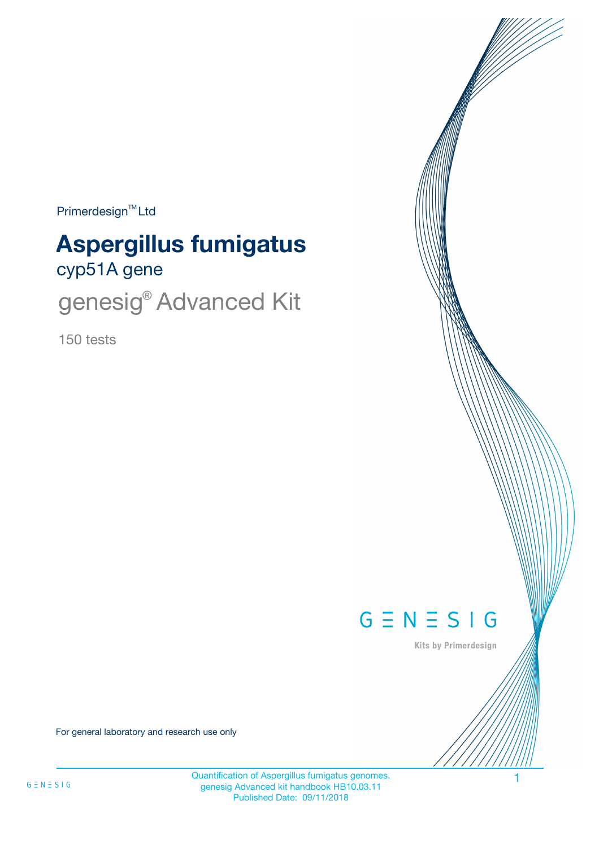Primerdesign<sup>™</sup>Ltd

# cyp51A gene **Aspergillus fumigatus**

genesig<sup>®</sup> Advanced Kit

150 tests



Kits by Primerdesign

For general laboratory and research use only

Quantification of Aspergillus fumigatus genomes. 1 genesig Advanced kit handbook HB10.03.11 Published Date: 09/11/2018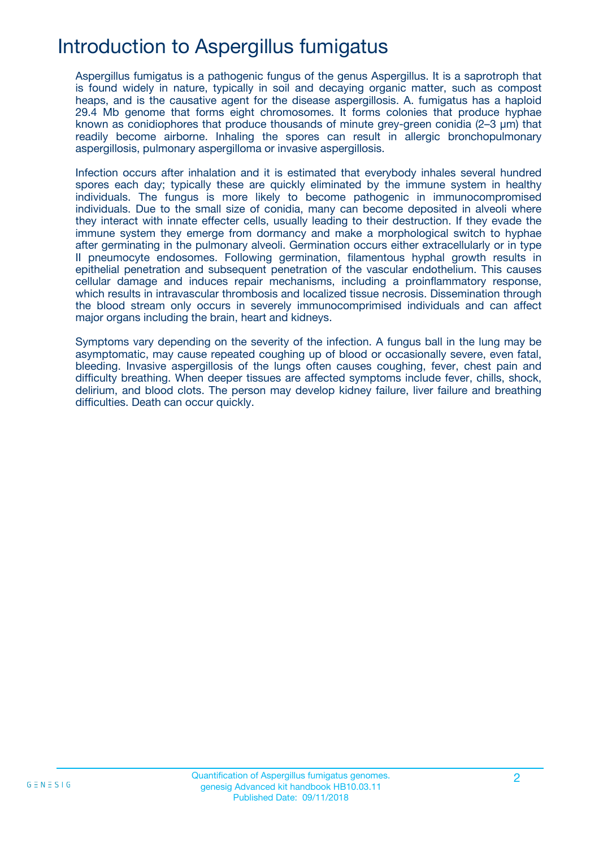## Introduction to Aspergillus fumigatus

Aspergillus fumigatus is a pathogenic fungus of the genus Aspergillus. It is a saprotroph that is found widely in nature, typically in soil and decaying organic matter, such as compost heaps, and is the causative agent for the disease aspergillosis. A. fumigatus has a haploid 29.4 Mb genome that forms eight chromosomes. It forms colonies that produce hyphae known as conidiophores that produce thousands of minute grey-green conidia (2–3 μm) that readily become airborne. Inhaling the spores can result in allergic bronchopulmonary aspergillosis, pulmonary aspergilloma or invasive aspergillosis.

Infection occurs after inhalation and it is estimated that everybody inhales several hundred spores each day; typically these are quickly eliminated by the immune system in healthy individuals. The fungus is more likely to become pathogenic in immunocompromised individuals. Due to the small size of conidia, many can become deposited in alveoli where they interact with innate effecter cells, usually leading to their destruction. If they evade the immune system they emerge from dormancy and make a morphological switch to hyphae after germinating in the pulmonary alveoli. Germination occurs either extracellularly or in type II pneumocyte endosomes. Following germination, filamentous hyphal growth results in epithelial penetration and subsequent penetration of the vascular endothelium. This causes cellular damage and induces repair mechanisms, including a proinflammatory response, which results in intravascular thrombosis and localized tissue necrosis. Dissemination through the blood stream only occurs in severely immunocomprimised individuals and can affect major organs including the brain, heart and kidneys.

Symptoms vary depending on the severity of the infection. A fungus ball in the lung may be asymptomatic, may cause repeated coughing up of blood or occasionally severe, even fatal, bleeding. Invasive aspergillosis of the lungs often causes coughing, fever, chest pain and difficulty breathing. When deeper tissues are affected symptoms include fever, chills, shock, delirium, and blood clots. The person may develop kidney failure, liver failure and breathing difficulties. Death can occur quickly.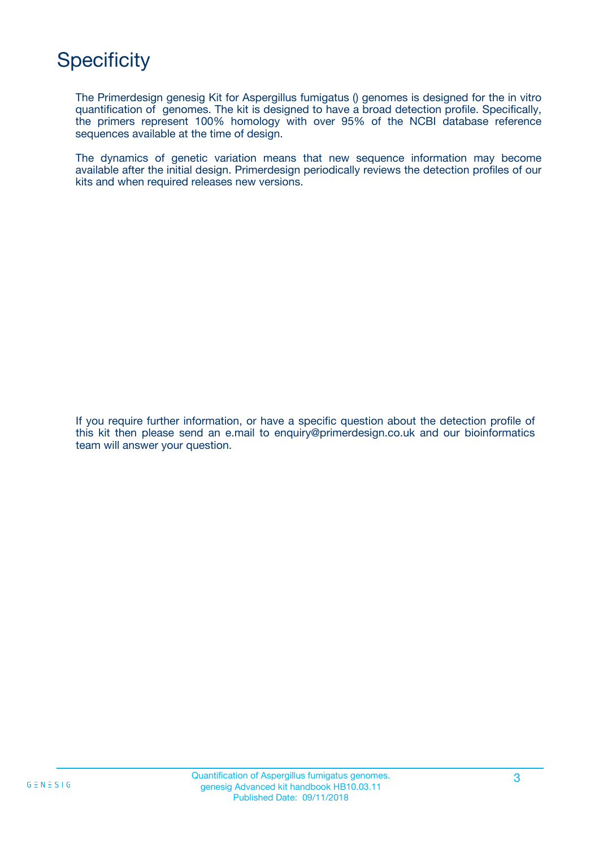# **Specificity**

The Primerdesign genesig Kit for Aspergillus fumigatus () genomes is designed for the in vitro quantification of genomes. The kit is designed to have a broad detection profile. Specifically, the primers represent 100% homology with over 95% of the NCBI database reference sequences available at the time of design.

The dynamics of genetic variation means that new sequence information may become available after the initial design. Primerdesign periodically reviews the detection profiles of our kits and when required releases new versions.

If you require further information, or have a specific question about the detection profile of this kit then please send an e.mail to enquiry@primerdesign.co.uk and our bioinformatics team will answer your question.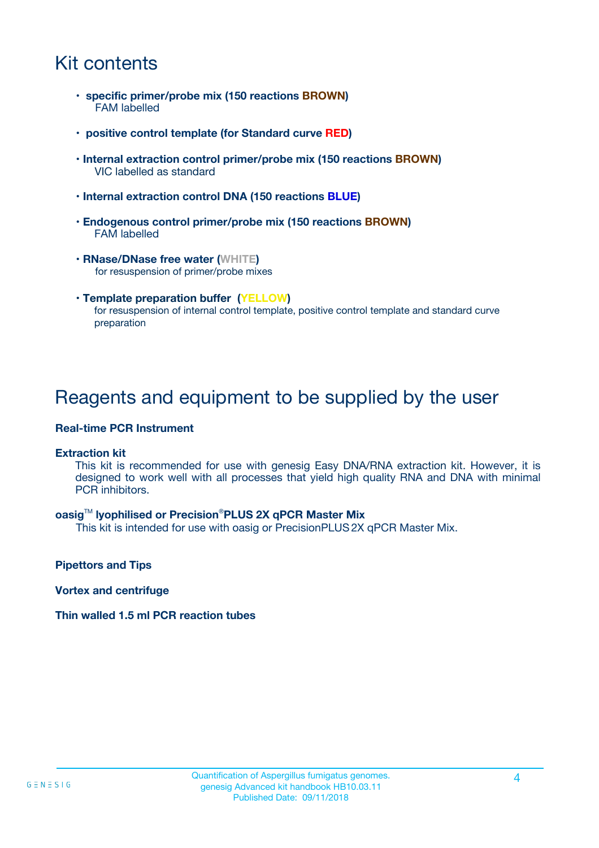## Kit contents

- **specific primer/probe mix (150 reactions BROWN)** FAM labelled
- **positive control template (for Standard curve RED)**
- **Internal extraction control primer/probe mix (150 reactions BROWN)** VIC labelled as standard
- **Internal extraction control DNA (150 reactions BLUE)**
- **Endogenous control primer/probe mix (150 reactions BROWN)** FAM labelled
- **RNase/DNase free water (WHITE)** for resuspension of primer/probe mixes
- **Template preparation buffer (YELLOW)** for resuspension of internal control template, positive control template and standard curve preparation

### Reagents and equipment to be supplied by the user

#### **Real-time PCR Instrument**

#### **Extraction kit**

This kit is recommended for use with genesig Easy DNA/RNA extraction kit. However, it is designed to work well with all processes that yield high quality RNA and DNA with minimal PCR inhibitors.

#### **oasig**TM **lyophilised or Precision**®**PLUS 2X qPCR Master Mix**

This kit is intended for use with oasig or PrecisionPLUS2X qPCR Master Mix.

**Pipettors and Tips**

**Vortex and centrifuge**

#### **Thin walled 1.5 ml PCR reaction tubes**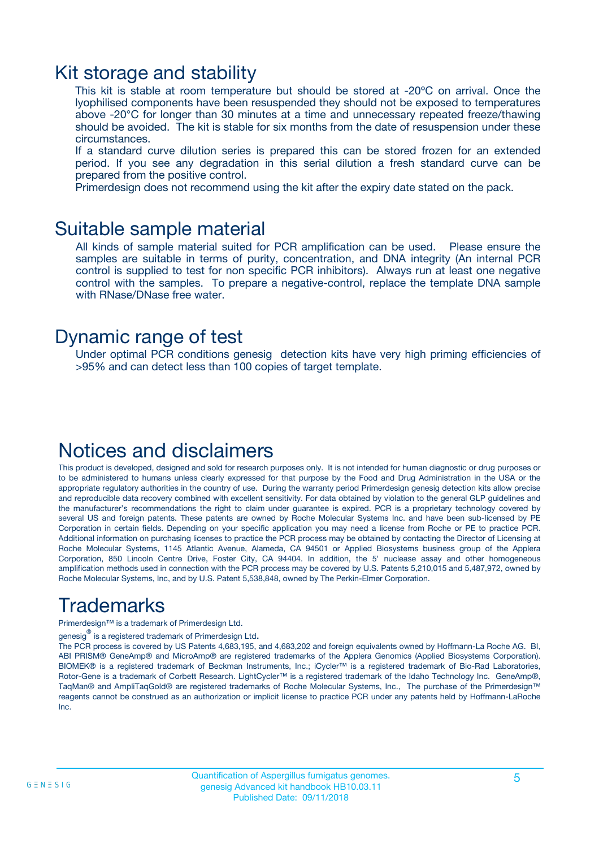### Kit storage and stability

This kit is stable at room temperature but should be stored at -20ºC on arrival. Once the lyophilised components have been resuspended they should not be exposed to temperatures above -20°C for longer than 30 minutes at a time and unnecessary repeated freeze/thawing should be avoided. The kit is stable for six months from the date of resuspension under these circumstances.

If a standard curve dilution series is prepared this can be stored frozen for an extended period. If you see any degradation in this serial dilution a fresh standard curve can be prepared from the positive control.

Primerdesign does not recommend using the kit after the expiry date stated on the pack.

### Suitable sample material

All kinds of sample material suited for PCR amplification can be used. Please ensure the samples are suitable in terms of purity, concentration, and DNA integrity (An internal PCR control is supplied to test for non specific PCR inhibitors). Always run at least one negative control with the samples. To prepare a negative-control, replace the template DNA sample with RNase/DNase free water.

### Dynamic range of test

Under optimal PCR conditions genesig detection kits have very high priming efficiencies of >95% and can detect less than 100 copies of target template.

### Notices and disclaimers

This product is developed, designed and sold for research purposes only. It is not intended for human diagnostic or drug purposes or to be administered to humans unless clearly expressed for that purpose by the Food and Drug Administration in the USA or the appropriate regulatory authorities in the country of use. During the warranty period Primerdesign genesig detection kits allow precise and reproducible data recovery combined with excellent sensitivity. For data obtained by violation to the general GLP guidelines and the manufacturer's recommendations the right to claim under guarantee is expired. PCR is a proprietary technology covered by several US and foreign patents. These patents are owned by Roche Molecular Systems Inc. and have been sub-licensed by PE Corporation in certain fields. Depending on your specific application you may need a license from Roche or PE to practice PCR. Additional information on purchasing licenses to practice the PCR process may be obtained by contacting the Director of Licensing at Roche Molecular Systems, 1145 Atlantic Avenue, Alameda, CA 94501 or Applied Biosystems business group of the Applera Corporation, 850 Lincoln Centre Drive, Foster City, CA 94404. In addition, the 5' nuclease assay and other homogeneous amplification methods used in connection with the PCR process may be covered by U.S. Patents 5,210,015 and 5,487,972, owned by Roche Molecular Systems, Inc, and by U.S. Patent 5,538,848, owned by The Perkin-Elmer Corporation.

# Trademarks

Primerdesign™ is a trademark of Primerdesign Ltd.

genesig $^\circledR$  is a registered trademark of Primerdesign Ltd.

The PCR process is covered by US Patents 4,683,195, and 4,683,202 and foreign equivalents owned by Hoffmann-La Roche AG. BI, ABI PRISM® GeneAmp® and MicroAmp® are registered trademarks of the Applera Genomics (Applied Biosystems Corporation). BIOMEK® is a registered trademark of Beckman Instruments, Inc.; iCycler™ is a registered trademark of Bio-Rad Laboratories, Rotor-Gene is a trademark of Corbett Research. LightCycler™ is a registered trademark of the Idaho Technology Inc. GeneAmp®, TaqMan® and AmpliTaqGold® are registered trademarks of Roche Molecular Systems, Inc., The purchase of the Primerdesign™ reagents cannot be construed as an authorization or implicit license to practice PCR under any patents held by Hoffmann-LaRoche Inc.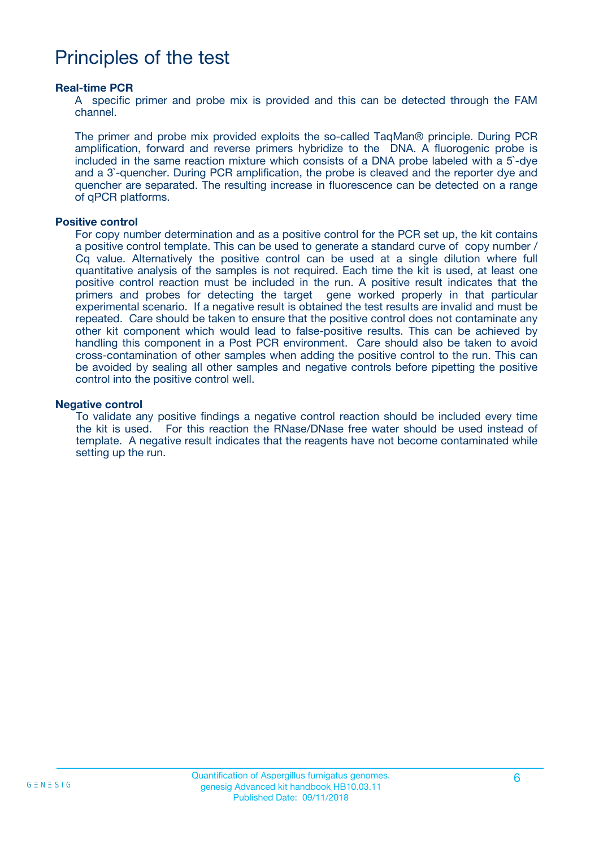## Principles of the test

#### **Real-time PCR**

A specific primer and probe mix is provided and this can be detected through the FAM channel.

The primer and probe mix provided exploits the so-called TaqMan® principle. During PCR amplification, forward and reverse primers hybridize to the DNA. A fluorogenic probe is included in the same reaction mixture which consists of a DNA probe labeled with a 5`-dye and a 3`-quencher. During PCR amplification, the probe is cleaved and the reporter dye and quencher are separated. The resulting increase in fluorescence can be detected on a range of qPCR platforms.

#### **Positive control**

For copy number determination and as a positive control for the PCR set up, the kit contains a positive control template. This can be used to generate a standard curve of copy number / Cq value. Alternatively the positive control can be used at a single dilution where full quantitative analysis of the samples is not required. Each time the kit is used, at least one positive control reaction must be included in the run. A positive result indicates that the primers and probes for detecting the target gene worked properly in that particular experimental scenario. If a negative result is obtained the test results are invalid and must be repeated. Care should be taken to ensure that the positive control does not contaminate any other kit component which would lead to false-positive results. This can be achieved by handling this component in a Post PCR environment. Care should also be taken to avoid cross-contamination of other samples when adding the positive control to the run. This can be avoided by sealing all other samples and negative controls before pipetting the positive control into the positive control well.

#### **Negative control**

To validate any positive findings a negative control reaction should be included every time the kit is used. For this reaction the RNase/DNase free water should be used instead of template. A negative result indicates that the reagents have not become contaminated while setting up the run.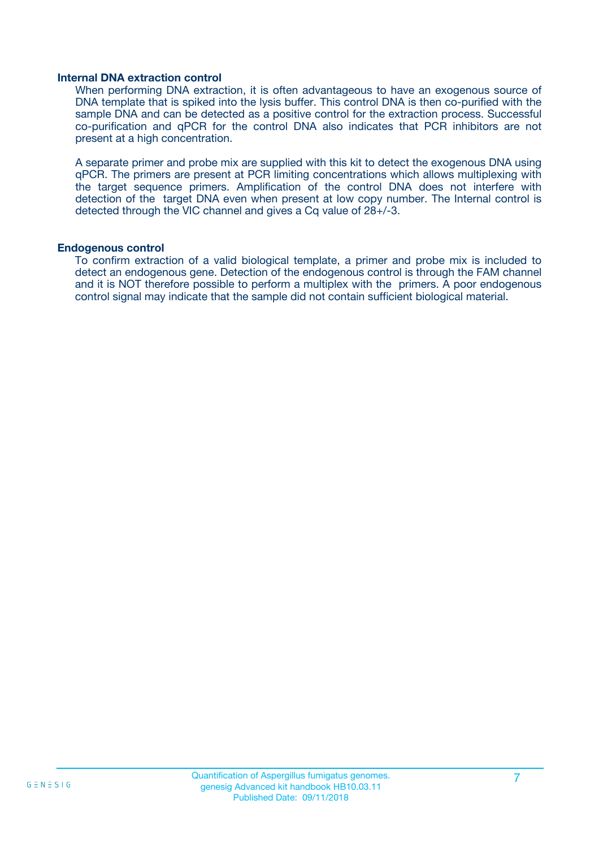#### **Internal DNA extraction control**

When performing DNA extraction, it is often advantageous to have an exogenous source of DNA template that is spiked into the lysis buffer. This control DNA is then co-purified with the sample DNA and can be detected as a positive control for the extraction process. Successful co-purification and qPCR for the control DNA also indicates that PCR inhibitors are not present at a high concentration.

A separate primer and probe mix are supplied with this kit to detect the exogenous DNA using qPCR. The primers are present at PCR limiting concentrations which allows multiplexing with the target sequence primers. Amplification of the control DNA does not interfere with detection of the target DNA even when present at low copy number. The Internal control is detected through the VIC channel and gives a Cq value of 28+/-3.

#### **Endogenous control**

To confirm extraction of a valid biological template, a primer and probe mix is included to detect an endogenous gene. Detection of the endogenous control is through the FAM channel and it is NOT therefore possible to perform a multiplex with the primers. A poor endogenous control signal may indicate that the sample did not contain sufficient biological material.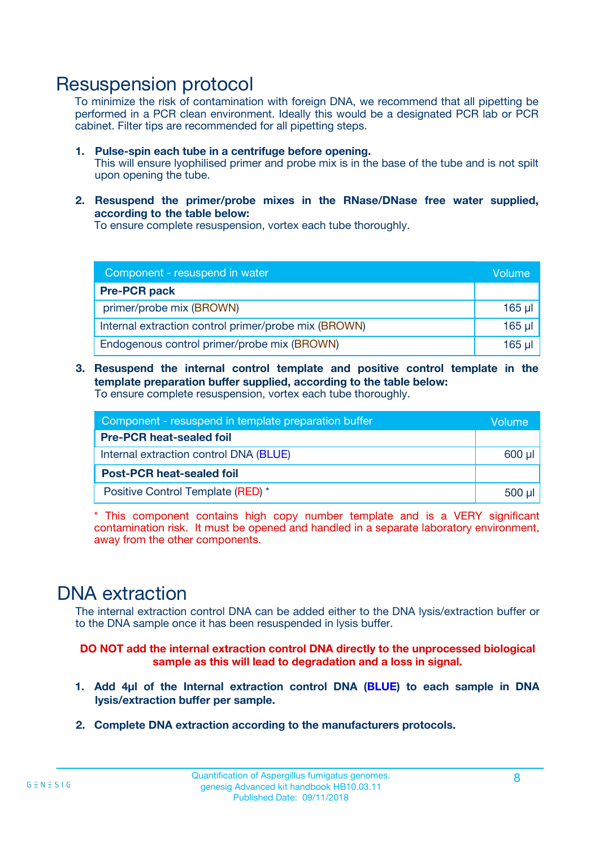### Resuspension protocol

To minimize the risk of contamination with foreign DNA, we recommend that all pipetting be performed in a PCR clean environment. Ideally this would be a designated PCR lab or PCR cabinet. Filter tips are recommended for all pipetting steps.

- **1. Pulse-spin each tube in a centrifuge before opening.** This will ensure lyophilised primer and probe mix is in the base of the tube and is not spilt upon opening the tube.
- **2. Resuspend the primer/probe mixes in the RNase/DNase free water supplied, according to the table below:**

To ensure complete resuspension, vortex each tube thoroughly.

| Component - resuspend in water                       |          |  |
|------------------------------------------------------|----------|--|
| <b>Pre-PCR pack</b>                                  |          |  |
| primer/probe mix (BROWN)                             | $165$ µl |  |
| Internal extraction control primer/probe mix (BROWN) | $165$ µl |  |
| Endogenous control primer/probe mix (BROWN)          | $165$ µ  |  |

**3. Resuspend the internal control template and positive control template in the template preparation buffer supplied, according to the table below:** To ensure complete resuspension, vortex each tube thoroughly.

| Component - resuspend in template preparation buffer |          |  |  |
|------------------------------------------------------|----------|--|--|
| <b>Pre-PCR heat-sealed foil</b>                      |          |  |  |
| Internal extraction control DNA (BLUE)               |          |  |  |
| <b>Post-PCR heat-sealed foil</b>                     |          |  |  |
| Positive Control Template (RED) *                    | $500$ µl |  |  |

\* This component contains high copy number template and is a VERY significant contamination risk. It must be opened and handled in a separate laboratory environment, away from the other components.

### DNA extraction

The internal extraction control DNA can be added either to the DNA lysis/extraction buffer or to the DNA sample once it has been resuspended in lysis buffer.

**DO NOT add the internal extraction control DNA directly to the unprocessed biological sample as this will lead to degradation and a loss in signal.**

- **1. Add 4µl of the Internal extraction control DNA (BLUE) to each sample in DNA lysis/extraction buffer per sample.**
- **2. Complete DNA extraction according to the manufacturers protocols.**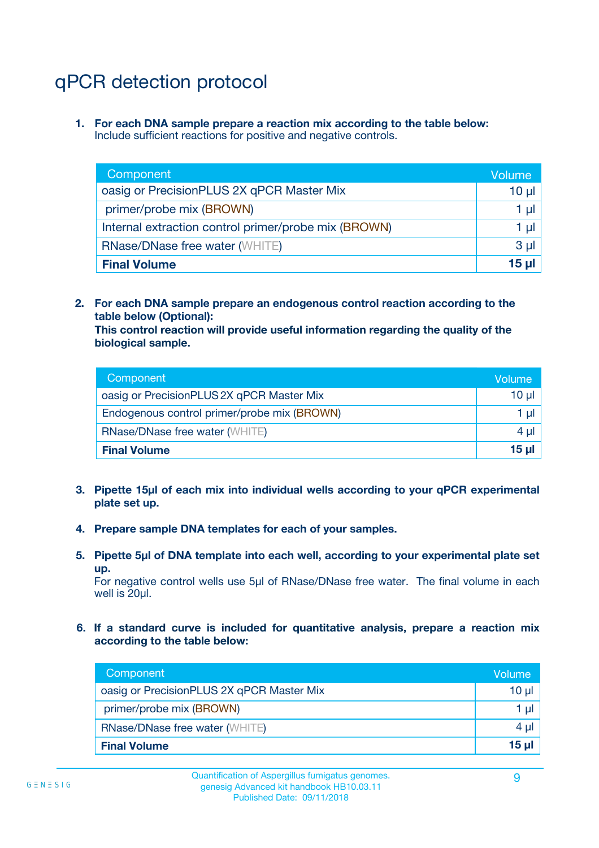# qPCR detection protocol

**1. For each DNA sample prepare a reaction mix according to the table below:** Include sufficient reactions for positive and negative controls.

| Component                                            | Volume   |
|------------------------------------------------------|----------|
| oasig or PrecisionPLUS 2X qPCR Master Mix            | $10 \mu$ |
| primer/probe mix (BROWN)                             | 1 µI     |
| Internal extraction control primer/probe mix (BROWN) | 1 µI     |
| <b>RNase/DNase free water (WHITE)</b>                | $3 \mu$  |
| <b>Final Volume</b>                                  | 15 µl    |

**2. For each DNA sample prepare an endogenous control reaction according to the table below (Optional):**

**This control reaction will provide useful information regarding the quality of the biological sample.**

| Component                                   | Volume          |
|---------------------------------------------|-----------------|
| oasig or PrecisionPLUS 2X qPCR Master Mix   | $10 \mu$        |
| Endogenous control primer/probe mix (BROWN) | 1 µI            |
| <b>RNase/DNase free water (WHITE)</b>       | 4 µl            |
| <b>Final Volume</b>                         | 15 <sub>µ</sub> |

- **3. Pipette 15µl of each mix into individual wells according to your qPCR experimental plate set up.**
- **4. Prepare sample DNA templates for each of your samples.**
- **5. Pipette 5µl of DNA template into each well, according to your experimental plate set up.**

For negative control wells use 5µl of RNase/DNase free water. The final volume in each well is 20ul.

**6. If a standard curve is included for quantitative analysis, prepare a reaction mix according to the table below:**

| Component                                 | Volume  |
|-------------------------------------------|---------|
| oasig or PrecisionPLUS 2X qPCR Master Mix | 10 µl   |
| primer/probe mix (BROWN)                  | 1 µI    |
| <b>RNase/DNase free water (WHITE)</b>     | $4 \mu$ |
| <b>Final Volume</b>                       | 15 µl   |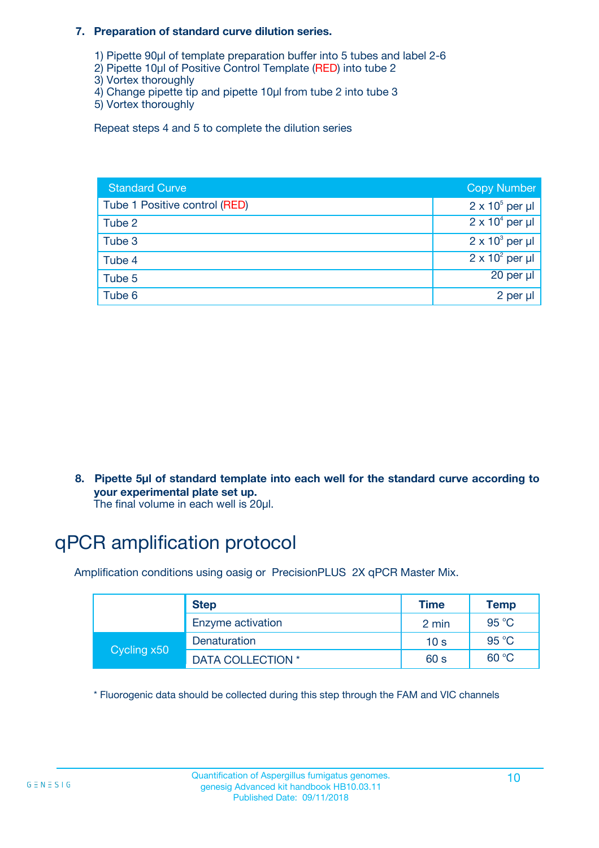#### **7. Preparation of standard curve dilution series.**

- 1) Pipette 90µl of template preparation buffer into 5 tubes and label 2-6
- 2) Pipette 10µl of Positive Control Template (RED) into tube 2
- 3) Vortex thoroughly
- 4) Change pipette tip and pipette 10µl from tube 2 into tube 3
- 5) Vortex thoroughly

Repeat steps 4 and 5 to complete the dilution series

| <b>Standard Curve</b>         | <b>Copy Number</b>     |
|-------------------------------|------------------------|
| Tube 1 Positive control (RED) | $2 \times 10^5$ per µl |
| Tube 2                        | $2 \times 10^4$ per µl |
| Tube 3                        | $2 \times 10^3$ per µl |
| Tube 4                        | $2 \times 10^2$ per µl |
| Tube 5                        | 20 per µl              |
| Tube 6                        | 2 per µl               |

**8. Pipette 5µl of standard template into each well for the standard curve according to your experimental plate set up.**

#### The final volume in each well is 20µl.

# qPCR amplification protocol

Amplification conditions using oasig or PrecisionPLUS 2X qPCR Master Mix.

|             | <b>Step</b>       | <b>Time</b>     | Temp    |
|-------------|-------------------|-----------------|---------|
|             | Enzyme activation | 2 min           | 95 °C   |
| Cycling x50 | Denaturation      | 10 <sub>s</sub> | 95 $°C$ |
|             | DATA COLLECTION * | 60 s            | 60 °C   |

\* Fluorogenic data should be collected during this step through the FAM and VIC channels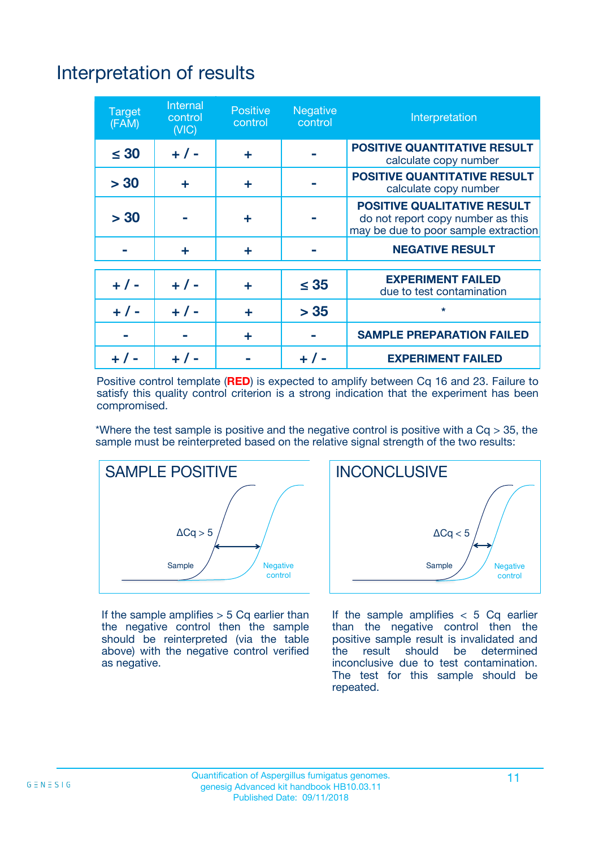# Interpretation of results

| <b>Target</b><br>(FAM) | <b>Internal</b><br>control<br>(NIC) | <b>Positive</b><br>control | <b>Negative</b><br>control | Interpretation                                                                                                  |
|------------------------|-------------------------------------|----------------------------|----------------------------|-----------------------------------------------------------------------------------------------------------------|
| $\leq 30$              | $+ 1 -$                             | ÷                          |                            | <b>POSITIVE QUANTITATIVE RESULT</b><br>calculate copy number                                                    |
| > 30                   | ٠                                   | ÷                          |                            | <b>POSITIVE QUANTITATIVE RESULT</b><br>calculate copy number                                                    |
| > 30                   |                                     | ÷                          |                            | <b>POSITIVE QUALITATIVE RESULT</b><br>do not report copy number as this<br>may be due to poor sample extraction |
|                        | ÷                                   | ÷                          |                            | <b>NEGATIVE RESULT</b>                                                                                          |
| $+ 1 -$                | $+ 1 -$                             | ÷                          | $\leq$ 35                  | <b>EXPERIMENT FAILED</b><br>due to test contamination                                                           |
| $+$ / -                | $+ 1 -$                             | ÷                          | > 35                       | $\star$                                                                                                         |
|                        |                                     | ÷                          |                            | <b>SAMPLE PREPARATION FAILED</b>                                                                                |
|                        |                                     |                            | $+$ /                      | <b>EXPERIMENT FAILED</b>                                                                                        |

Positive control template (**RED**) is expected to amplify between Cq 16 and 23. Failure to satisfy this quality control criterion is a strong indication that the experiment has been compromised.

\*Where the test sample is positive and the negative control is positive with a  $Ca > 35$ , the sample must be reinterpreted based on the relative signal strength of the two results:



If the sample amplifies  $> 5$  Cq earlier than the negative control then the sample should be reinterpreted (via the table above) with the negative control verified as negative.



If the sample amplifies  $< 5$  Cq earlier than the negative control then the positive sample result is invalidated and<br>the result should be determined  $the$  result should be inconclusive due to test contamination. The test for this sample should be repeated.